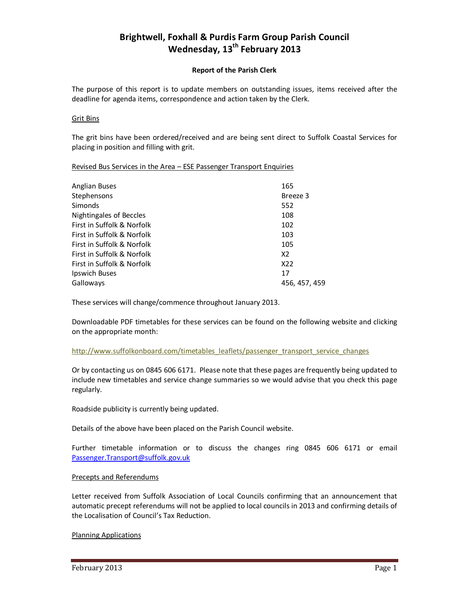# **Brightwell, Foxhall & Purdis Farm Group Parish Council Wednesday, 13th February 2013**

## **Report of the Parish Clerk**

The purpose of this report is to update members on outstanding issues, items received after the deadline for agenda items, correspondence and action taken by the Clerk.

## Grit Bins

The grit bins have been ordered/received and are being sent direct to Suffolk Coastal Services for placing in position and filling with grit.

Revised Bus Services in the Area – ESE Passenger Transport Enquiries

| <b>Anglian Buses</b>       | 165           |
|----------------------------|---------------|
| Stephensons                | Breeze 3      |
| <b>Simonds</b>             | 552           |
| Nightingales of Beccles    | 108           |
| First in Suffolk & Norfolk | 102           |
| First in Suffolk & Norfolk | 103           |
| First in Suffolk & Norfolk | 105           |
| First in Suffolk & Norfolk | X2            |
| First in Suffolk & Norfolk | X22           |
| Ipswich Buses              | 17            |
| Galloways                  | 456, 457, 459 |

These services will change/commence throughout January 2013.

Downloadable PDF timetables for these services can be found on the following website and clicking on the appropriate month:

### http://www.suffolkonboard.com/timetables\_leaflets/passenger\_transport\_service\_changes

Or by contacting us on 0845 606 6171. Please note that these pages are frequently being updated to include new timetables and service change summaries so we would advise that you check this page regularly.

Roadside publicity is currently being updated.

Details of the above have been placed on the Parish Council website.

Further timetable information or to discuss the changes ring 0845 606 6171 or email Passenger.Transport@suffolk.gov.uk

## Precepts and Referendums

Letter received from Suffolk Association of Local Councils confirming that an announcement that automatic precept referendums will not be applied to local councils in 2013 and confirming details of the Localisation of Council's Tax Reduction.

### Planning Applications